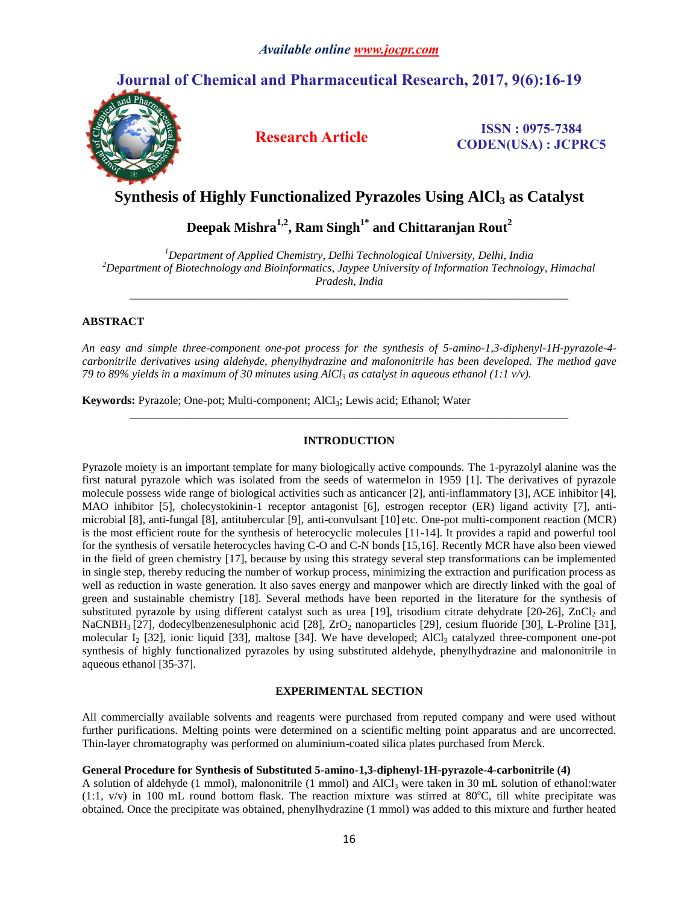# **Journal of Chemical and Pharmaceutical Research, 2017, 9(6):16-19**



**Research Article ISSN : 0975-7384 CODEN(USA) : JCPRC5**

# **Synthesis of Highly Functionalized Pyrazoles Using AlCl<sup>3</sup> as Catalyst**

**Deepak Mishra1,2, Ram Singh1\* and Chittaranjan Rout<sup>2</sup>**

*<sup>1</sup>Department of Applied Chemistry, Delhi Technological University, Delhi, India <sup>2</sup>Department of Biotechnology and Bioinformatics, Jaypee University of Information Technology, Himachal Pradesh, India*

\_\_\_\_\_\_\_\_\_\_\_\_\_\_\_\_\_\_\_\_\_\_\_\_\_\_\_\_\_\_\_\_\_\_\_\_\_\_\_\_\_\_\_\_\_\_\_\_\_\_\_\_\_\_\_\_\_\_\_\_\_\_\_\_\_\_\_\_\_\_\_\_\_\_\_\_\_

## **ABSTRACT**

*An easy and simple three-component one-pot process for the synthesis of 5-amino-1,3-diphenyl-1H-pyrazole-4 carbonitrile derivatives using aldehyde, phenylhydrazine and malononitrile has been developed. The method gave 79 to 89% yields in a maximum of 30 minutes using AlCl<sup>3</sup> as catalyst in aqueous ethanol (1:1 v/v).* 

Keywords: Pyrazole; One-pot; Multi-component; AlCl<sub>3</sub>; Lewis acid; Ethanol; Water

## **INTRODUCTION**

\_\_\_\_\_\_\_\_\_\_\_\_\_\_\_\_\_\_\_\_\_\_\_\_\_\_\_\_\_\_\_\_\_\_\_\_\_\_\_\_\_\_\_\_\_\_\_\_\_\_\_\_\_\_\_\_\_\_\_\_\_\_\_\_\_\_\_\_\_\_\_\_\_\_\_\_\_

Pyrazole moiety is an important template for many biologically active compounds. The 1-pyrazolyl alanine was the first natural pyrazole which was isolated from the seeds of watermelon in 1959 [1]. The derivatives of pyrazole molecule possess wide range of biological activities such as anticancer [2], anti-inflammatory [3], ACE inhibitor [4], MAO inhibitor [5], cholecystokinin-1 receptor antagonist [6], estrogen receptor (ER) ligand activity [7], antimicrobial [8], anti-fungal [8], antitubercular [9], anti-convulsant [10] etc. One-pot multi-component reaction (MCR) is the most efficient route for the synthesis of heterocyclic molecules [11-14]. It provides a rapid and powerful tool for the synthesis of versatile heterocycles having C-O and C-N bonds [15,16]. Recently MCR have also been viewed in the field of green chemistry [17], because by using this strategy several step transformations can be implemented in single step, thereby reducing the number of workup process, minimizing the extraction and purification process as well as reduction in waste generation. It also saves energy and manpower which are directly linked with the goal of green and sustainable chemistry [18]. Several methods have been reported in the literature for the synthesis of substituted pyrazole by using different catalyst such as urea [19], trisodium citrate dehydrate [20-26], ZnCl<sub>2</sub> and NaCNBH<sub>3</sub> [27], dodecylbenzenesulphonic acid [28], ZrO<sub>2</sub> nanoparticles [29], cesium fluoride [30], L-Proline [31], molecular  $I_2$  [32], ionic liquid [33], maltose [34]. We have developed; AlCl<sub>3</sub> catalyzed three-component one-pot synthesis of highly functionalized pyrazoles by using substituted aldehyde, phenylhydrazine and malononitrile in aqueous ethanol [35-37].

## **EXPERIMENTAL SECTION**

All commercially available solvents and reagents were purchased from reputed company and were used without further purifications. Melting points were determined on a scientific melting point apparatus and are uncorrected. Thin-layer chromatography was performed on aluminium-coated silica plates purchased from Merck.

## **General Procedure for Synthesis of Substituted 5-amino-1,3-diphenyl-1H-pyrazole-4-carbonitrile (4)**

A solution of aldehyde (1 mmol), malononitrile (1 mmol) and  $AICI<sub>3</sub>$  were taken in 30 mL solution of ethanol:water  $(1:1, v/v)$  in 100 mL round bottom flask. The reaction mixture was stirred at 80°C, till white precipitate was obtained. Once the precipitate was obtained, phenylhydrazine (1 mmol) was added to this mixture and further heated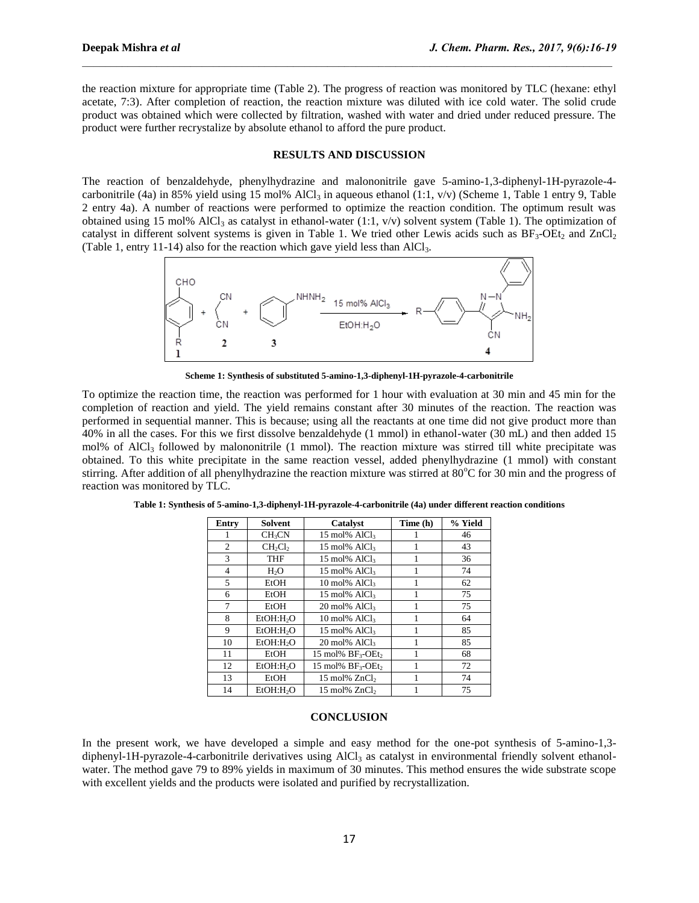the reaction mixture for appropriate time (Table 2). The progress of reaction was monitored by TLC (hexane: ethyl acetate, 7:3). After completion of reaction, the reaction mixture was diluted with ice cold water. The solid crude product was obtained which were collected by filtration, washed with water and dried under reduced pressure. The product were further recrystalize by absolute ethanol to afford the pure product.

 $\mathcal{L}_\mathcal{L} = \mathcal{L}_\mathcal{L}$ 

### **RESULTS AND DISCUSSION**

The reaction of benzaldehyde, phenylhydrazine and malononitrile gave 5-amino-1,3-diphenyl-1H-pyrazole-4 carbonitrile (4a) in 85% yield using 15 mol% AlCl<sub>3</sub> in aqueous ethanol (1:1, v/v) (Scheme 1, Table 1 entry 9, Table 2 entry 4a). A number of reactions were performed to optimize the reaction condition. The optimum result was obtained using 15 mol% AlCl<sub>3</sub> as catalyst in ethanol-water (1:1, v/v) solvent system (Table 1). The optimization of catalyst in different solvent systems is given in Table 1. We tried other Lewis acids such as  $BF_3-OE_2$  and  $ZnCl_2$ (Table 1, entry 11-14) also for the reaction which gave yield less than  $AICI<sub>3</sub>$ .



**Scheme 1: Synthesis of substituted 5-amino-1,3-diphenyl-1H-pyrazole-4-carbonitrile**

To optimize the reaction time, the reaction was performed for 1 hour with evaluation at 30 min and 45 min for the completion of reaction and yield. The yield remains constant after 30 minutes of the reaction. The reaction was performed in sequential manner. This is because; using all the reactants at one time did not give product more than 40% in all the cases. For this we first dissolve benzaldehyde (1 mmol) in ethanol-water (30 mL) and then added 15 mol% of AlCl<sub>3</sub> followed by malononitrile (1 mmol). The reaction mixture was stirred till white precipitate was obtained. To this white precipitate in the same reaction vessel, added phenylhydrazine (1 mmol) with constant stirring. After addition of all phenylhydrazine the reaction mixture was stirred at 80°C for 30 min and the progress of reaction was monitored by TLC.

| Entry          | Solvent                 | Catalyst                                  | Time (h) | % Yield |
|----------------|-------------------------|-------------------------------------------|----------|---------|
|                | <b>CH<sub>3</sub>CN</b> | 15 mol% AlCl3                             |          | 46      |
| 2              | $CH_2Cl_2$              | 15 mol% AlCl3                             |          | 43      |
| 3              | <b>THF</b>              | $15 \text{ mol}$ % AlCl <sub>3</sub>      |          | 36      |
| $\overline{4}$ | H <sub>2</sub> O        | 15 mol% AlCl <sub>3</sub>                 |          | 74      |
| 5              | EtOH                    | $10 \text{ mol}$ % AlCl <sub>3</sub>      |          | 62      |
| 6              | EtOH                    | 15 mol% AlCl <sub>3</sub>                 |          | 75      |
| 7              | EtOH                    | $20 \text{ mol}$ % AlCl <sub>3</sub>      |          | 75      |
| 8              | EtOH:H <sub>2</sub> O   | 10 mol% AlCl3                             |          | 64      |
| 9              | EtOH:H <sub>2</sub> O   | $15 \text{ mol}$ % AlCl <sub>3</sub>      |          | 85      |
| 10             | EtOH:H <sub>2</sub> O   | 20 mol% AlCl3                             |          | 85      |
| 11             | EtOH                    | 15 mol% $BF_3$ -OEt <sub>2</sub>          |          | 68      |
| 12             | EtOH:H <sub>2</sub> O   | 15 mol% BF <sub>3</sub> -OEt <sub>2</sub> |          | 72      |
| 13             | EtOH                    | 15 mol% ZnCl <sub>2</sub>                 |          | 74      |
| 14             | EtOH:H <sub>2</sub> O   | $15 \text{ mol}$ % $ZnCl2$                |          | 75      |

**Table 1: Synthesis of 5-amino-1,3-diphenyl-1H-pyrazole-4-carbonitrile (4a) under different reaction conditions**

### **CONCLUSION**

In the present work, we have developed a simple and easy method for the one-pot synthesis of 5-amino-1,3 diphenyl-1H-pyrazole-4-carbonitrile derivatives using  $AICl<sub>3</sub>$  as catalyst in environmental friendly solvent ethanolwater. The method gave 79 to 89% yields in maximum of 30 minutes. This method ensures the wide substrate scope with excellent yields and the products were isolated and purified by recrystallization.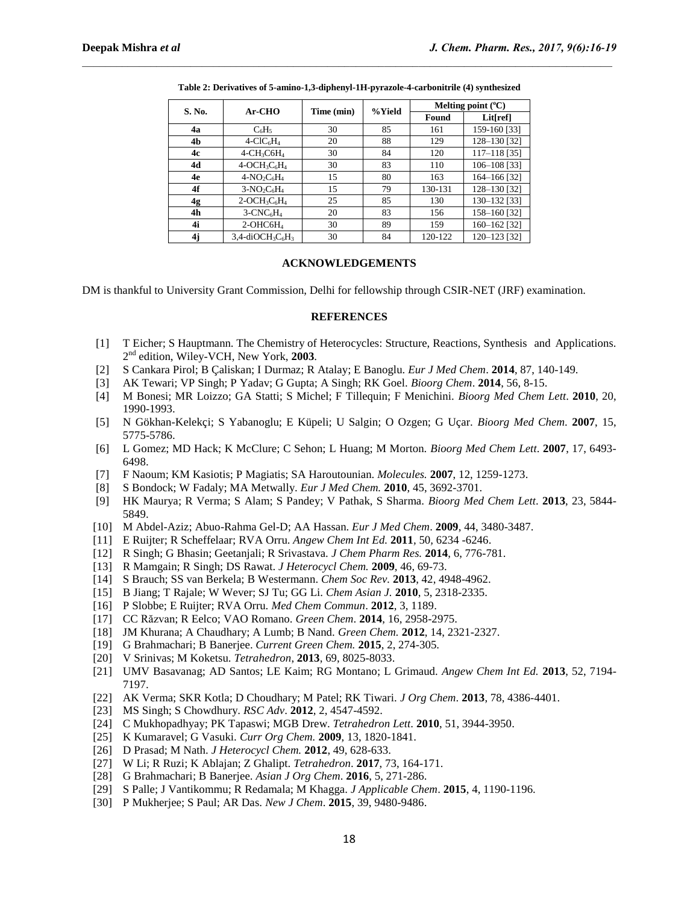| S. No. | Ar-CHO                                                  | Time (min) | %Yield | Melting point $(^{\circ}C)$ |              |
|--------|---------------------------------------------------------|------------|--------|-----------------------------|--------------|
|        |                                                         |            |        | Found                       | Lit[ref]     |
| 4a     | $C_6H_5$                                                | 30         | 85     | 161                         | 159-160 [33] |
| 4b     | $4-CIC6H4$                                              | 20         | 88     | 129                         | 128-130 [32] |
| 4c     | $4$ -CH <sub>3</sub> C6H <sub>4</sub>                   | 30         | 84     | 120                         | 117-118 [35] |
| 4d     | $4-OCH3C6H4$                                            | 30         | 83     | 110                         | 106-108 [33] |
| 4e     | $4-NO_2C_6H_4$                                          | 15         | 80     | 163                         | 164-166 [32] |
| 4f     | $3-NO_2C_6H_4$                                          | 15         | 79     | 130-131                     | 128-130 [32] |
| 4g     | $2$ -OCH <sub>3</sub> C <sub>6</sub> H <sub>4</sub>     | 25         | 85     | 130                         | 130-132 [33] |
| 4h     | $3$ -CNC $_6$ H <sub>4</sub>                            | 20         | 83     | 156                         | 158-160 [32] |
| 4i     | $2$ -OHC6H <sub>4</sub>                                 | 30         | 89     | 159                         | 160-162 [32] |
| 4j     | $3,4$ -diOCH <sub>3</sub> C <sub>6</sub> H <sub>3</sub> | 30         | 84     | 120-122                     | 120-123 [32] |

**Table 2: Derivatives of 5-amino-1,3-diphenyl-1H-pyrazole-4-carbonitrile (4) synthesized**

 $\mathcal{L}_\mathcal{L} = \mathcal{L}_\mathcal{L}$ 

### **ACKNOWLEDGEMENTS**

DM is thankful to University Grant Commission, Delhi for fellowship through CSIR-NET (JRF) examination.

### **REFERENCES**

- [1] T Eicher; S Hauptmann. The Chemistry of Heterocycles: Structure, Reactions, Synthesis and Applications. 2 nd edition, Wiley-VCH, New York, **2003**.
- [2] S Cankara Pirol; B Çaliskan; I Durmaz; R Atalay; E Banoglu. *Eur J Med Chem*. **2014**, 87, 140-149.
- [3] AK Tewari; VP Singh; P Yadav; G Gupta; A Singh; RK Goel. *Bioorg Chem*. **2014**, 56, 8-15.
- [4] M Bonesi; MR Loizzo; GA Statti; S Michel; F Tillequin; F Menichini. *Bioorg Med Chem Lett*. **2010**, 20, 1990-1993.
- [5] N Gökhan-Kelekçi; S Yabanoglu; E Küpeli; U Salgin; O Ozgen; G Uçar. *Bioorg Med Chem*. **2007**, 15, 5775-5786.
- [6] L Gomez; MD Hack; K McClure; C Sehon; L Huang; M Morton. *Bioorg Med Chem Lett*. **2007**, 17, 6493- 6498.
- [7] F Naoum; KM Kasiotis; P Magiatis; SA Haroutounian. *Molecules.* **2007**, 12, 1259-1273.
- [8] S Bondock; W Fadaly; MA Metwally. *Eur J Med Chem.* **2010**, 45, 3692-3701.
- [9] HK Maurya; R Verma; S Alam; S Pandey; V Pathak, S Sharma. *Bioorg Med Chem Lett*. **2013**, 23, 5844- 5849.
- [10] M Abdel-Aziz; Abuo-Rahma Gel-D; AA Hassan. *Eur J Med Chem*. **2009**, 44, 3480-3487.
- [11] E Ruijter; R Scheffelaar; RVA Orru. *Angew Chem Int Ed.* **2011***,* 50*,* 6234 -6246.
- [12] R Singh; G Bhasin; Geetanjali; R Srivastava. *J Chem Pharm Res.* **2014**, 6, 776-781.
- [13] R Mamgain; R Singh; DS Rawat. *J Heterocycl Chem.* **2009**, 46, 69-73.
- [14] S Brauch; SS van Berkela; B Westermann. *Chem Soc Rev.* **2013**, 42, 4948-4962.
- [15] B Jiang; T Rajale; W Wever; SJ Tu; GG Li. *Chem Asian J.* **2010**, 5, 2318-2335.
- [16] P Slobbe; E Ruijter; RVA Orru. *Med Chem Commun*. **2012**, 3, 1189.
- [17] CC Răzvan; R Eelco; VAO Romano. *Green Chem*. **2014**, 16, 2958-2975.
- [18] JM Khurana; A Chaudhary; A Lumb; B Nand. *Green Chem.* **2012**, 14, 2321-2327.
- [19] G Brahmachari; B Banerjee. *Current Green Chem.* **2015**, 2, 274-305.
- [20] V Srinivas; M Koketsu. *Tetrahedron*, **2013**, 69, 8025-8033.
- [21] UMV Basavanag; AD Santos; LE Kaim; RG Montano; L Grimaud. *Angew Chem Int Ed.* **2013**, 52, 7194- 7197.
- [22] AK Verma; SKR Kotla; D Choudhary; M Patel; RK Tiwari. *J Org Chem*. **2013**, 78, 4386-4401.
- [23] MS Singh; S Chowdhury. *RSC Adv*. **2012**, 2, 4547-4592.
- [24] C Mukhopadhyay; PK Tapaswi; MGB Drew. *Tetrahedron Lett*. **2010**, 51, 3944-3950.
- [25] K Kumaravel; G Vasuki. *Curr Org Chem.* **2009**, 13, 1820-1841.
- [26] D Prasad; M Nath. *J Heterocycl Chem.* **2012**, 49, 628-633.
- [27] W Li; R Ruzi; K Ablajan; Z Ghalipt. *Tetrahedron*. **2017**, 73, 164-171.
- [28] G Brahmachari; B Banerjee. *Asian J Org Chem*. **2016**, 5, 271-286.
- [29] S Palle; J Vantikommu; R Redamala; M Khagga. *J Applicable Chem*. **2015**, 4, 1190-1196.
- [30] P Mukherjee; S Paul; AR Das. *New J Chem*. **2015**, 39, 9480-9486.